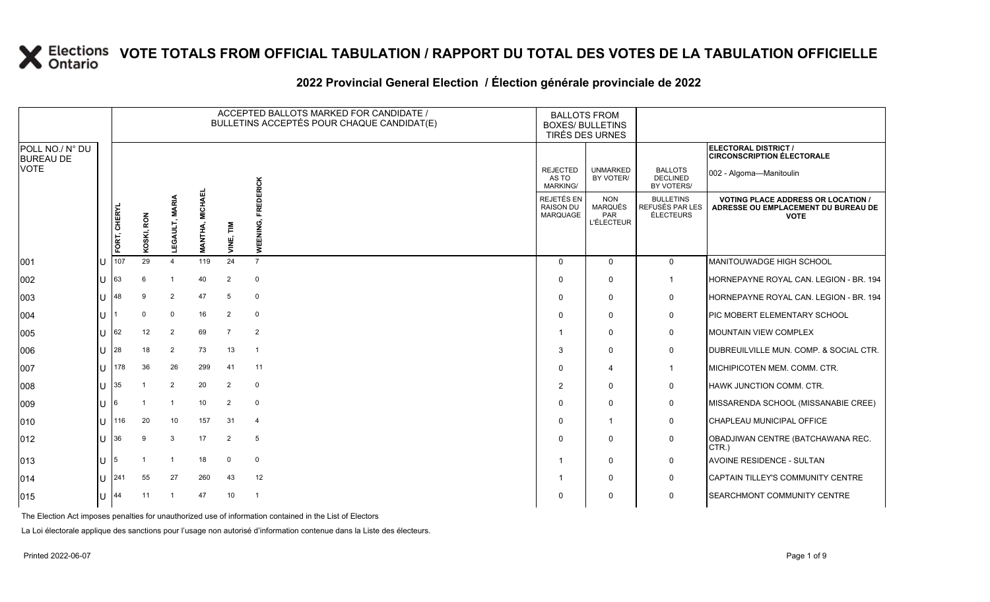#### 2022 Provincial General Election / Election générale provinciale de 2022

|                                     |              |              |               |                |                                |                           | ACCEPTED BALLOTS MARKED FOR CANDIDATE /<br>BULLETINS ACCEPTÉS POUR CHAQUE CANDIDAT(E) | <b>BALLOTS FROM</b><br><b>BOXES/ BULLETINS</b><br>TIRÉS DES URNES |                                                                 |                                                  |                                                                                               |
|-------------------------------------|--------------|--------------|---------------|----------------|--------------------------------|---------------------------|---------------------------------------------------------------------------------------|-------------------------------------------------------------------|-----------------------------------------------------------------|--------------------------------------------------|-----------------------------------------------------------------------------------------------|
| POLL NO./ N° DU<br><b>BUREAU DE</b> |              |              |               |                |                                |                           |                                                                                       |                                                                   |                                                                 |                                                  | <b>ELECTORAL DISTRICT /</b><br><b>CIRCONSCRIPTION ÉLECTORALE</b>                              |
| VOTE                                |              |              |               |                |                                |                           |                                                                                       | <b>REJECTED</b><br>AS TO<br><b>MARKING/</b>                       | <b>UNMARKED</b><br>BY VOTER/                                    | <b>BALLOTS</b><br><b>DECLINED</b><br>BY VOTERS/  | 002 - Algoma-Manitoulin                                                                       |
|                                     |              | FORT, CHERYL | RON<br>KOSKI, | EGAU<br>⊐      | <b>MICHAEI</b><br><b>NANTH</b> | $\sum_{i=1}^{n}$<br>УIКE, | <b>FREDERICK</b><br>WEENING,                                                          | REJETÉS EN<br><b>RAISON DU</b><br>MARQUAGE                        | <b>NON</b><br><b>MARQUÉS</b><br><b>PAR</b><br><b>L'ÉLECTEUR</b> | <b>BULLETINS</b><br>REFUSÉS PAR LES<br>ÉLECTEURS | <b>VOTING PLACE ADDRESS OR LOCATION</b><br>ADRESSE OU EMPLACEMENT DU BUREAU DE<br><b>VOTE</b> |
| 001                                 |              | 107          | 29            | $\Delta$       | 119                            | 24                        | $\overline{7}$                                                                        | $\Omega$                                                          | $\Omega$                                                        | $\mathbf 0$                                      | MANITOUWADGE HIGH SCHOOL                                                                      |
| 002                                 |              | 63           | 6             |                | 40                             | 2                         | $\mathbf 0$                                                                           | $\Omega$                                                          | $\mathbf{0}$                                                    | $\mathbf{1}$                                     | HORNEPAYNE ROYAL CAN. LEGION - BR. 194                                                        |
| 003                                 |              | 48           | 9             | $\overline{2}$ | 47                             | 5                         | $\mathbf 0$                                                                           | $\Omega$                                                          | $\mathbf{0}$                                                    | 0                                                | HORNEPAYNE ROYAL CAN. LEGION - BR. 194                                                        |
| 004                                 |              |              | $\Omega$      | $\overline{0}$ | 16                             | 2                         | $\mathbf 0$                                                                           | $\Omega$                                                          | $\Omega$                                                        | 0                                                | PIC MOBERT ELEMENTARY SCHOOL                                                                  |
| 005                                 |              | 62           | 12            | $\overline{2}$ | 69                             | $\overline{7}$            | $\overline{2}$                                                                        | -1                                                                | $\mathbf 0$                                                     | $\mathbf 0$                                      | <b>MOUNTAIN VIEW COMPLEX</b>                                                                  |
| 006                                 |              | 28           | 18            | 2              | 73                             | 13                        | $\overline{1}$                                                                        | 3                                                                 | $\mathbf{0}$                                                    | 0                                                | DUBREUILVILLE MUN. COMP. & SOCIAL CTR.                                                        |
| 007                                 |              | 178          | 36            | 26             | 299                            | 41                        | 11                                                                                    | $\Omega$                                                          | 4                                                               | $\mathbf{1}$                                     | MICHIPICOTEN MEM. COMM. CTR.                                                                  |
| 008                                 |              | 35           |               | 2              | 20                             | 2                         | $\mathbf 0$                                                                           | $\overline{2}$                                                    | $\Omega$                                                        | 0                                                | HAWK JUNCTION COMM. CTR.                                                                      |
| 009                                 |              |              |               | $\overline{1}$ | 10                             | 2                         | $\mathbf 0$                                                                           | $\Omega$                                                          | $\Omega$                                                        | 0                                                | MISSARENDA SCHOOL (MISSANABIE CREE)                                                           |
| 010                                 |              | 116          | 20            | 10             | 157                            | 31                        | $\overline{4}$                                                                        | $\Omega$                                                          | 1                                                               | $\mathbf 0$                                      | CHAPLEAU MUNICIPAL OFFICE                                                                     |
| 012                                 | $\mathbf{L}$ | 36           | 9             | 3              | 17                             | 2                         | 5                                                                                     | $\Omega$                                                          | $\mathbf 0$                                                     | 0                                                | OBADJIWAN CENTRE (BATCHAWANA REC.<br>CTR.)                                                    |
| 013                                 |              |              |               |                | 18                             | $\mathbf 0$               | $\mathbf 0$                                                                           | -1                                                                | $\mathbf{0}$                                                    | 0                                                | AVOINE RESIDENCE - SULTAN                                                                     |
| 014                                 | $\mathbf{H}$ | 241          | 55            | 27             | 260                            | 43                        | 12                                                                                    | -1                                                                | $\Omega$                                                        | 0                                                | CAPTAIN TILLEY'S COMMUNITY CENTRE                                                             |
| 015                                 |              | 44           | 11            |                | 47                             | 10                        | -1                                                                                    | 0                                                                 | $\Omega$                                                        | 0                                                | <b>SEARCHMONT COMMUNITY CENTRE</b>                                                            |

The Election Act imposes penalties for unauthorized use of information contained in the List of Electors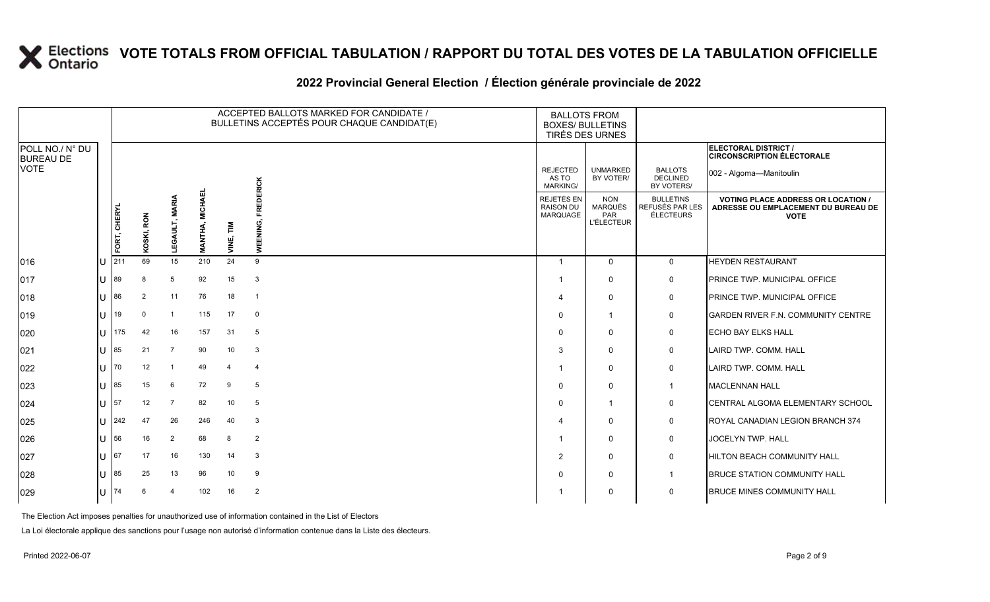### **2022 Provincial General Election / Élection générale provinciale de 2022**

|                                     |              |            |                |                                  |           |                              | ACCEPTED BALLOTS MARKED FOR CANDIDATE /<br>BULLETINS ACCEPTÉS POUR CHAQUE CANDIDAT(E) | <b>BALLOTS FROM</b><br><b>BOXES/ BULLETINS</b><br>TIRÉS DES URNES |                                                  |                                                                                                 |                                                           |
|-------------------------------------|--------------|------------|----------------|----------------------------------|-----------|------------------------------|---------------------------------------------------------------------------------------|-------------------------------------------------------------------|--------------------------------------------------|-------------------------------------------------------------------------------------------------|-----------------------------------------------------------|
| POLL NO./ N° DU<br><b>BUREAU DE</b> |              |            |                |                                  |           |                              |                                                                                       |                                                                   |                                                  |                                                                                                 | ELECTORAL DISTRICT /<br><b>CIRCONSCRIPTION ÉLECTORALE</b> |
| <b>VOTE</b>                         |              |            |                |                                  |           |                              |                                                                                       | <b>REJECTED</b><br>AS TO<br>MARKING/                              | <b>UNMARKED</b><br>BY VOTER/                     | <b>BALLOTS</b><br><b>DECLINED</b><br>BY VOTERS/                                                 | 002 - Algoma-Manitoulin                                   |
|                                     | FORT, CHERYL | KOSKI, RON | Š<br>LEGAULT,  | <b>MICHAEL</b><br><b>MANTHA,</b> | VINE, TIM | <b>FREDERICK</b><br>WEENING, | <b>REJETÉS EN</b><br>RAISON DU<br>MARQUAGE                                            | <b>NON</b><br><b>MARQUÉS</b><br>PAR<br><b>L'ÉLECTEUR</b>          | <b>BULLETINS</b><br>REFUSÉS PAR LES<br>ÉLECTEURS | <b>VOTING PLACE ADDRESS OR LOCATION /</b><br>ADRESSE OU EMPLACEMENT DU BUREAU DE<br><b>VOTE</b> |                                                           |
| 016                                 | U            | 211        | 69             | 15                               | 210       | 24                           | 9                                                                                     | -1                                                                | $\mathbf{0}$                                     | 0                                                                                               | <b>HEYDEN RESTAURANT</b>                                  |
| 017                                 | U            | 89         |                | 5                                | 92        | 15                           | $\mathbf{3}$                                                                          |                                                                   | $\mathbf 0$                                      | 0                                                                                               | PRINCE TWP. MUNICIPAL OFFICE                              |
| 018                                 | $ U ^{86}$   |            | $\overline{2}$ | 11                               | 76        | 18                           | $\overline{1}$                                                                        |                                                                   | $\mathbf 0$                                      | $\mathbf 0$                                                                                     | <b>PRINCE TWP. MUNICIPAL OFFICE</b>                       |
| 019                                 | lu           | 119        | $\mathbf 0$    | $\overline{1}$                   | 115       | 17                           | $\mathbf 0$                                                                           | $\Omega$                                                          | -1                                               | 0                                                                                               | <b>GARDEN RIVER F.N. COMMUNITY CENTRE</b>                 |
| 020                                 | U            | 175        | 42             | 16                               | 157       | 31                           | 5                                                                                     | $\Omega$                                                          | $\mathbf{0}$                                     | 0                                                                                               | <b>ECHO BAY ELKS HALL</b>                                 |
| 021                                 | $ U ^{85}$   |            | 21             | $\overline{7}$                   | 90        | 10                           | 3                                                                                     | 3                                                                 | $\mathbf{0}$                                     | 0                                                                                               | LAIRD TWP. COMM. HALL                                     |
| 022                                 | U   $70$     |            | 12             | $\overline{\mathbf{1}}$          | 49        | $\overline{4}$               | $\overline{4}$                                                                        |                                                                   | 0                                                | 0                                                                                               | LAIRD TWP. COMM. HALL                                     |
| 023                                 | U            | 85         | 15             | 6                                | 72        | 9                            | 5                                                                                     | $\Omega$                                                          | $\mathbf 0$                                      | $\mathbf{1}$                                                                                    | MACLENNAN HALL                                            |
| 024                                 | $ U $ 57     |            | 12             | $\overline{7}$                   | 82        | 10                           | 5                                                                                     | $\Omega$                                                          | -1                                               | 0                                                                                               | <b>CENTRAL ALGOMA ELEMENTARY SCHOOL</b>                   |
| 025                                 |              | $U$ 242    | 47             | 26                               | 246       | 40                           | 3                                                                                     |                                                                   | $\mathbf{0}$                                     | 0                                                                                               | ROYAL CANADIAN LEGION BRANCH 374                          |
| 026                                 | U            | 56         | 16             | $\overline{2}$                   | 68        | 8                            | $\overline{2}$                                                                        |                                                                   | $\mathbf{0}$                                     | 0                                                                                               | <b>JOCELYN TWP. HALL</b>                                  |
| 027                                 | $U$ 67       |            | 17             | 16                               | 130       | 14                           | 3                                                                                     | 2                                                                 | $\mathbf{0}$                                     | 0                                                                                               | <b>HILTON BEACH COMMUNITY HALL</b>                        |
| 028                                 | $ U ^{85}$   |            | 25             | 13                               | 96        | 10                           | 9                                                                                     | $\Omega$                                                          | 0                                                | $\mathbf 1$                                                                                     | <b>BRUCE STATION COMMUNITY HALL</b>                       |
| 029                                 | $U$  74      |            |                | 4                                | 102       | 16                           | $\overline{2}$                                                                        |                                                                   | 0                                                | $\mathbf 0$                                                                                     | <b>BRUCE MINES COMMUNITY HALL</b>                         |

The Election Act imposes penalties for unauthorized use of information contained in the List of Electors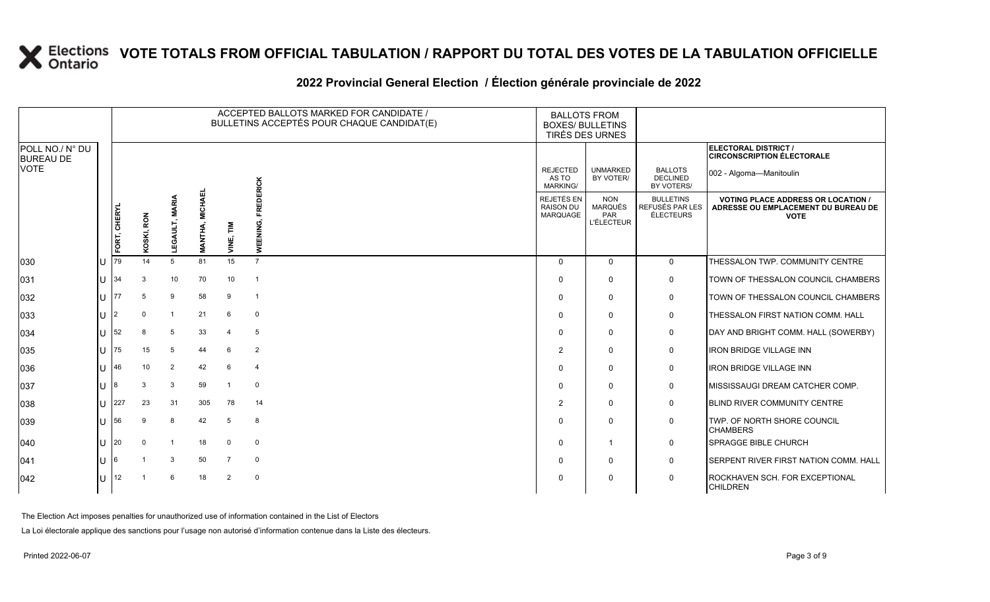### **2022 Provincial General Election / Élection générale provinciale de 2022**

|                                     |              |              |            |               |                              |                            | ACCEPTED BALLOTS MARKED FOR CANDIDATE /<br>BULLETINS ACCEPTÉS POUR CHAQUE CANDIDAT(E) | <b>BALLOTS FROM</b><br><b>BOXES/ BULLETINS</b><br>TIRÉS DES URNES |                                                   |                                                  |                                                                                               |
|-------------------------------------|--------------|--------------|------------|---------------|------------------------------|----------------------------|---------------------------------------------------------------------------------------|-------------------------------------------------------------------|---------------------------------------------------|--------------------------------------------------|-----------------------------------------------------------------------------------------------|
| POLL NO./ N° DU<br><b>BUREAU DE</b> |              |              |            |               |                              |                            |                                                                                       |                                                                   |                                                   |                                                  | <b>ELECTORAL DISTRICT /</b><br><b>CIRCONSCRIPTION ÉLECTORALE</b>                              |
| <b>VOTE</b>                         |              |              |            |               |                              |                            | EDERICK                                                                               | <b>REJECTED</b><br>AS TO<br><b>MARKING/</b>                       | <b>UNMARKED</b><br>BY VOTER/                      | <b>BALLOTS</b><br><b>DECLINED</b><br>BY VOTERS/  | 002 - Algoma-Manitoulin                                                                       |
|                                     |              | FORT, CHERYL | KOSKI, RON | ⋚<br>LEGAULT, | 画<br>MICHA<br><b>MANTHA,</b> | 즡<br>$\bar{\bar{\bar{z}}}$ | 흢<br>WEENING,                                                                         | <b>REJETÉS EN</b><br><b>RAISON DU</b><br>MARQUAGE                 | <b>NON</b><br>MARQUÉS<br>PAR<br><b>L'ÉLECTEUR</b> | <b>BULLETINS</b><br>REFUSÉS PAR LES<br>ÉLECTEURS | <b>VOTING PLACE ADDRESS OR LOCATION</b><br>ADRESSE OU EMPLACEMENT DU BUREAU DE<br><b>VOTE</b> |
| 030                                 | ΠT           | 79           | 14         | 5             | 81                           | 15                         | $\overline{7}$                                                                        | $\Omega$                                                          | $\Omega$                                          | $\Omega$                                         | THESSALON TWP. COMMUNITY CENTRE                                                               |
| 031                                 | IU           | 34           | 3          | 10            | 70                           | 10                         | $\overline{1}$                                                                        | $\Omega$                                                          | $\Omega$                                          | $\mathbf 0$                                      | TOWN OF THESSALON COUNCIL CHAMBERS                                                            |
| 032                                 | lu-          | 77           | -5         | 9             | 58                           | 9                          | $\overline{1}$                                                                        | 0                                                                 | $\Omega$                                          | 0                                                | TOWN OF THESSALON COUNCIL CHAMBERS                                                            |
| 033                                 | IU           | 12           |            | -1            | 21                           | 6                          | 0                                                                                     | $\Omega$                                                          | $\Omega$                                          | $\mathbf 0$                                      | THESSALON FIRST NATION COMM. HALL                                                             |
| 034                                 | Ш            | 52           | 8          | 5             | 33                           | $\overline{4}$             | 5                                                                                     | $\Omega$                                                          | $\Omega$                                          | 0                                                | DAY AND BRIGHT COMM. HALL (SOWERBY)                                                           |
| 035                                 | lu.          | 75           | 15         | 5             | 44                           | 6                          | $\overline{2}$                                                                        | $\overline{2}$                                                    | $\Omega$                                          | 0                                                | <b>IRON BRIDGE VILLAGE INN</b>                                                                |
| 036                                 | U            | 46           | 10         | 2             | 42                           | -6                         | 4                                                                                     | $\Omega$                                                          | $\Omega$                                          | $\mathbf 0$                                      | <b>IRON BRIDGE VILLAGE INN</b>                                                                |
| 037                                 | IП           | 8            | 3          | 3             | 59                           | -1                         | $\mathbf 0$                                                                           | $\Omega$                                                          | $\Omega$                                          | $\mathbf 0$                                      | MISSISSAUGI DREAM CATCHER COMP.                                                               |
| 038                                 | IU           | 227          | 23         | 31            | 305                          | 78                         | 14                                                                                    | 2                                                                 | $\mathbf{0}$                                      | $\mathbf 0$                                      | <b>BLIND RIVER COMMUNITY CENTRE</b>                                                           |
| 039                                 | ΠT           | 56           | 9          | 8             | 42                           | 5                          | 8                                                                                     | $\Omega$                                                          | $\Omega$                                          | 0                                                | TWP. OF NORTH SHORE COUNCIL<br><b>CHAMBERS</b>                                                |
| $ 040\rangle$                       | lu-          | 20           | $\Omega$   | -1            | 18                           | $\mathbf 0$                | $\mathbf 0$                                                                           | $\Omega$                                                          | 1                                                 | $\mathbf 0$                                      | <b>SPRAGGE BIBLE CHURCH</b>                                                                   |
| 041                                 | ΙU           | l6           |            | 3             | 50                           | $\overline{7}$             | 0                                                                                     | $\Omega$                                                          | $\mathbf{0}$                                      | $\mathbf 0$                                      | SERPENT RIVER FIRST NATION COMM. HALL                                                         |
| $ 042\rangle$                       | $\mathbf{L}$ | 12           |            | 6             | 18                           | $\overline{2}$             | $\mathbf 0$                                                                           | $\Omega$                                                          | $\Omega$                                          | $\mathbf 0$                                      | ROCKHAVEN SCH. FOR EXCEPTIONAL<br><b>CHILDREN</b>                                             |

The Election Act imposes penalties for unauthorized use of information contained in the List of Electors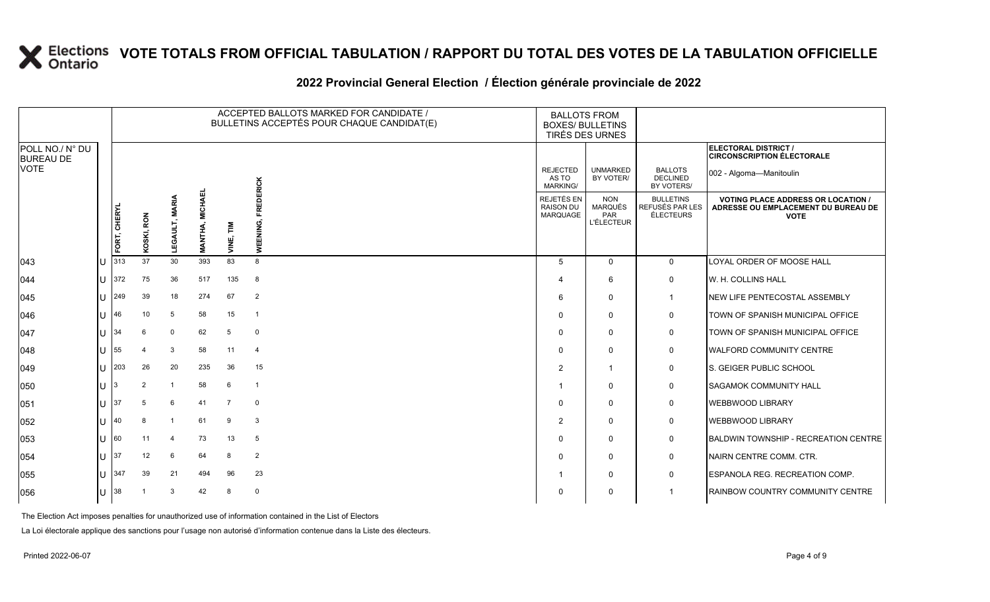#### **2022 Provincial General Election / Élection générale provinciale de 2022**

|                                     |              |                     |                |                |                                    |                | ACCEPTED BALLOTS MARKED FOR CANDIDATE /<br>BULLETINS ACCEPTÉS POUR CHAQUE CANDIDAT(E) |                                             | <b>BALLOTS FROM</b><br><b>BOXES/ BULLETINS</b><br>TIRÉS DES URNES |                                                  |                                                                                               |
|-------------------------------------|--------------|---------------------|----------------|----------------|------------------------------------|----------------|---------------------------------------------------------------------------------------|---------------------------------------------|-------------------------------------------------------------------|--------------------------------------------------|-----------------------------------------------------------------------------------------------|
| POLL NO./ N° DU<br><b>BUREAU DE</b> |              |                     |                |                |                                    |                |                                                                                       |                                             |                                                                   |                                                  | ELECTORAL DISTRICT /<br><b>CIRCONSCRIPTION ÉLECTORALE</b>                                     |
| VOTE                                |              |                     |                |                |                                    |                |                                                                                       | <b>REJECTED</b><br>AS TO<br><b>MARKING/</b> | <b>UNMARKED</b><br>BY VOTER/                                      | <b>BALLOTS</b><br><b>DECLINED</b><br>BY VOTERS/  | 002 - Algoma-Manitoulin                                                                       |
|                                     |              | FORT, CHERYL<br>313 | RON<br>KOSKI,  | ⋚<br>Ga<br>L   | ᇳ<br><b>MICHAI</b><br><b>MANTH</b> | VINE, TIM      | <b>FREDERICK</b><br>WEENING,                                                          | REJETÉS EN<br><b>RAISON DU</b><br>MARQUAGE  | <b>NON</b><br><b>MARQUÉS</b><br>PAR<br><b>L'ÉLECTEUR</b>          | <b>BULLETINS</b><br>REFUSÉS PAR LES<br>ÉLECTEURS | <b>VOTING PLACE ADDRESS OR LOCATION</b><br>ADRESSE OU EMPLACEMENT DU BUREAU DE<br><b>VOTE</b> |
| 043                                 |              |                     | 37             | 30             | 393                                | 83             | 8                                                                                     | 5                                           | $\Omega$                                                          | $\mathbf 0$                                      | LOYAL ORDER OF MOOSE HALL                                                                     |
| 044                                 | $\mathbf{H}$ | 372                 | 75             | 36             | 517                                | 135            | 8                                                                                     | 4                                           | 6                                                                 | 0                                                | W. H. COLLINS HALL                                                                            |
| 045                                 | $\mathbf{U}$ | 249                 | 39             | 18             | 274                                | 67             | $\overline{2}$                                                                        | 6                                           | $\Omega$                                                          | 1                                                | NEW LIFE PENTECOSTAL ASSEMBLY                                                                 |
| 046                                 |              | 46                  | 10             | 5              | 58                                 | 15             | $\overline{1}$                                                                        | $\Omega$                                    | $\Omega$                                                          | 0                                                | TOWN OF SPANISH MUNICIPAL OFFICE                                                              |
| 047                                 | U            | 34                  | 6              | $\mathbf 0$    | 62                                 | 5              | $\mathbf 0$                                                                           | 0                                           | $\Omega$                                                          | 0                                                | TOWN OF SPANISH MUNICIPAL OFFICE                                                              |
| 048                                 | U            | 55                  |                | 3              | 58                                 | 11             | $\overline{4}$                                                                        | $\mathbf 0$                                 | $\Omega$                                                          | 0                                                | <b>WALFORD COMMUNITY CENTRE</b>                                                               |
| 049                                 | 41.          | 203                 | 26             | 20             | 235                                | 36             | 15                                                                                    | $\overline{2}$                              | -1                                                                | $\mathbf 0$                                      | S. GEIGER PUBLIC SCHOOL                                                                       |
| 050                                 | U            |                     | $\overline{2}$ | $\overline{1}$ | 58                                 | 6              | $\overline{1}$                                                                        |                                             | $\Omega$                                                          | 0                                                | <b>SAGAMOK COMMUNITY HALL</b>                                                                 |
| 051                                 | U            | 137                 | -5             | 6              | 41                                 | $\overline{7}$ | $\mathbf 0$                                                                           | $\Omega$                                    | $\Omega$                                                          | 0                                                | <b>WEBBWOOD LIBRARY</b>                                                                       |
| 052                                 | $\mathbf{L}$ | 40                  | 8              | $\overline{1}$ | 61                                 | 9              | 3                                                                                     | $\overline{2}$                              | $\Omega$                                                          | 0                                                | <b>WEBBWOOD LIBRARY</b>                                                                       |
| 053                                 |              | 160                 | 11             | $\overline{4}$ | 73                                 | 13             | 5                                                                                     | $\Omega$                                    | $\Omega$                                                          | 0                                                | <b>BALDWIN TOWNSHIP - RECREATION CENTRE</b>                                                   |
| 054                                 | U            | 37                  | 12             | 6              | 64                                 | 8              | $\overline{2}$                                                                        | $\Omega$                                    | $\Omega$                                                          | 0                                                | NAIRN CENTRE COMM. CTR.                                                                       |
| 055                                 | U            | 347                 | 39             | 21             | 494                                | 96             | 23                                                                                    |                                             | 0                                                                 | $\mathbf 0$                                      | ESPANOLA REG. RECREATION COMP.                                                                |
| 056                                 |              | 38                  |                | 3              | 42                                 | 8              | $\mathsf{O}$                                                                          | $\Omega$                                    | $\Omega$                                                          |                                                  | RAINBOW COUNTRY COMMUNITY CENTRE                                                              |

The Election Act imposes penalties for unauthorized use of information contained in the List of Electors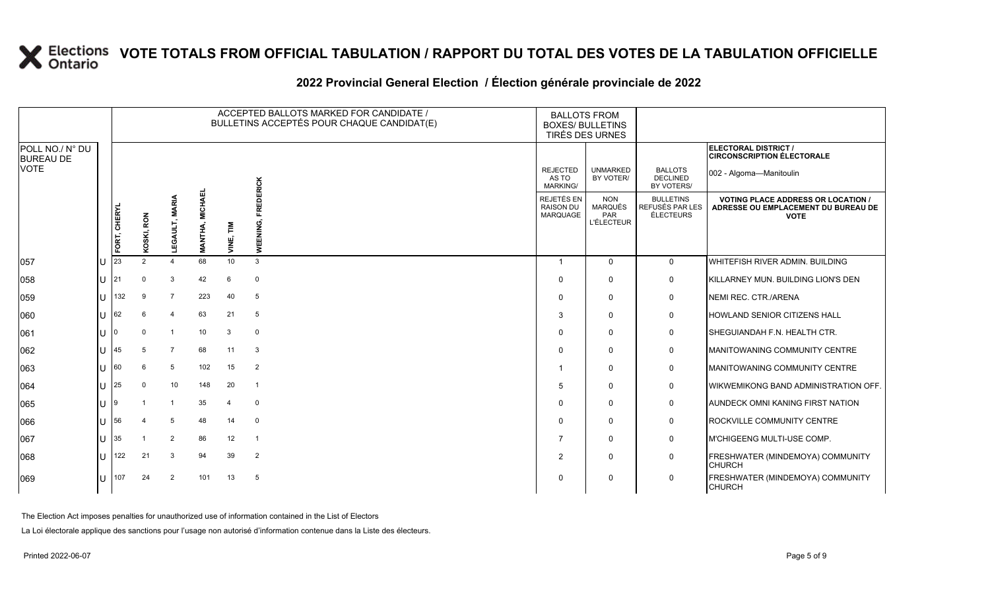### **2022 Provincial General Election / Élection générale provinciale de 2022**

|                                     |              |              |               |                         |                                      |                | ACCEPTED BALLOTS MARKED FOR CANDIDATE /<br>BULLETINS ACCEPTÉS POUR CHAQUE CANDIDAT(E) | <b>BALLOTS FROM</b><br><b>BOXES/ BULLETINS</b><br>TIRÉS DES URNES |                                                          |                                                  |                                                                                                 |
|-------------------------------------|--------------|--------------|---------------|-------------------------|--------------------------------------|----------------|---------------------------------------------------------------------------------------|-------------------------------------------------------------------|----------------------------------------------------------|--------------------------------------------------|-------------------------------------------------------------------------------------------------|
| POLL NO./ N° DU<br><b>BUREAU DE</b> |              |              |               |                         |                                      |                |                                                                                       |                                                                   |                                                          |                                                  | <b>ELECTORAL DISTRICT /</b><br><b>CIRCONSCRIPTION ÉLECTORALE</b>                                |
| <b>VOTE</b>                         |              |              |               |                         |                                      |                | EDERICK                                                                               | <b>REJECTED</b><br>AS TO<br><b>MARKING/</b>                       | <b>UNMARKED</b><br>BY VOTER/                             | <b>BALLOTS</b><br><b>DECLINED</b><br>BY VOTERS/  | 002 - Algoma-Manitoulin                                                                         |
|                                     |              | FORT, CHERYL | KOSKI, RON    | ℥<br>LEGAULT,           | 긊<br><b>MICHAI</b><br><b>MANTHA,</b> | Σ<br>VINE,     | ᄙ<br>WEENING,                                                                         | REJETÉS EN<br><b>RAISON DU</b><br>MARQUAGE                        | <b>NON</b><br><b>MARQUÉS</b><br>PAR<br><b>L'ÉLECTEUR</b> | <b>BULLETINS</b><br>REFUSÉS PAR LES<br>ÉLECTEURS | <b>VOTING PLACE ADDRESS OR LOCATION /</b><br>ADRESSE OU EMPLACEMENT DU BUREAU DE<br><b>VOTE</b> |
| 057                                 | ΠT           | 23           | $\mathcal{P}$ | 4                       | 68                                   | 10             | 3                                                                                     | $\overline{1}$                                                    | $\Omega$                                                 | $\mathbf{0}$                                     | WHITEFISH RIVER ADMIN, BUILDING                                                                 |
| 058                                 | IU           | 121          | $\Omega$      | 3                       | 42                                   | 6              | $\mathbf 0$                                                                           | $\Omega$                                                          | $\Omega$                                                 | $\mathbf 0$                                      | KILLARNEY MUN. BUILDING LION'S DEN                                                              |
| 059                                 | Ш            | 132          | 9             | $\overline{7}$          | 223                                  | 40             | 5                                                                                     | $\Omega$                                                          | $\Omega$                                                 | 0                                                | NEMI REC. CTR./ARENA                                                                            |
| 060                                 | $\mathbf{U}$ | 62           |               | $\overline{4}$          | 63                                   | 21             | 5                                                                                     | 3                                                                 | $\Omega$                                                 | 0                                                | HOWLAND SENIOR CITIZENS HALL                                                                    |
| 061                                 | ΠT           |              | $\Omega$      | $\overline{1}$          | 10                                   | 3              | $\mathbf 0$                                                                           | $\Omega$                                                          | $\Omega$                                                 | $\mathbf 0$                                      | SHEGUIANDAH F.N. HEALTH CTR.                                                                    |
| 062                                 | lU.          | 45           | -5            | $\overline{7}$          | 68                                   | 11             | 3                                                                                     | $\Omega$                                                          | 0                                                        | 0                                                | MANITOWANING COMMUNITY CENTRE                                                                   |
| 063                                 | $\mathbf{U}$ | 60           | 6             | 5                       | 102                                  | 15             | $\overline{2}$                                                                        |                                                                   | $\Omega$                                                 | 0                                                | MANITOWANING COMMUNITY CENTRE                                                                   |
| 064                                 | lu-          | 25           | $\Omega$      | 10                      | 148                                  | 20             | -1                                                                                    | .5                                                                | $\Omega$                                                 | 0                                                | WIKWEMIKONG BAND ADMINISTRATION OFF.                                                            |
| 065                                 | IU           | 19           |               | $\overline{\mathbf{1}}$ | 35                                   | $\overline{4}$ | $\mathbf 0$                                                                           | $\Omega$                                                          | $\Omega$                                                 | 0                                                | <b>AUNDECK OMNI KANING FIRST NATION</b>                                                         |
| 066                                 | ΠT           | 56           |               | 5                       | 48                                   | 14             | $\mathbf 0$                                                                           | $\Omega$                                                          | $\Omega$                                                 | 0                                                | ROCKVILLE COMMUNITY CENTRE                                                                      |
| 067                                 | U            | 35           |               | $\overline{2}$          | 86                                   | 12             | $\overline{1}$                                                                        | 7                                                                 | $\Omega$                                                 | $\mathsf{O}$                                     | M'CHIGEENG MULTI-USE COMP.                                                                      |
| 068                                 | $\mathbf{L}$ | 122          | 21            | 3                       | 94                                   | 39             | $\overline{2}$                                                                        | $\overline{2}$                                                    | $\Omega$                                                 | 0                                                | FRESHWATER (MINDEMOYA) COMMUNITY<br><b>CHURCH</b>                                               |
| 069                                 | $\mathbf{U}$ | 107          | 24            | $\overline{2}$          | 101                                  | 13             | 5                                                                                     | $\Omega$                                                          | $\Omega$                                                 | $\mathbf 0$                                      | FRESHWATER (MINDEMOYA) COMMUNITY<br><b>CHURCH</b>                                               |

The Election Act imposes penalties for unauthorized use of information contained in the List of Electors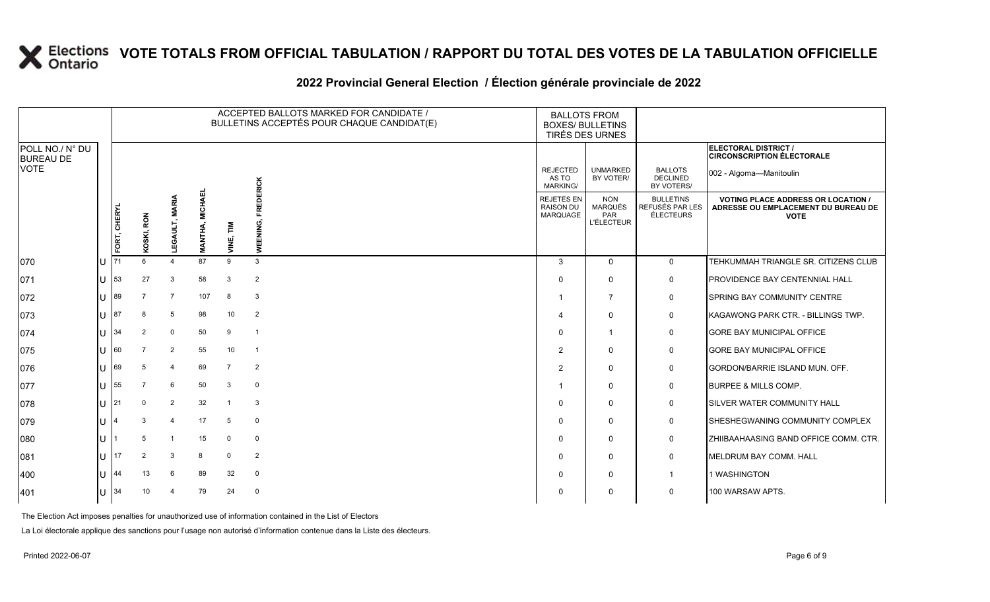### **2022 Provincial General Election / Élection générale provinciale de 2022**

|                                     |    |              |            |                |                                  | ACCEPTED BALLOTS MARKED FOR CANDIDATE /<br>BULLETINS ACCEPTÉS POUR CHAQUE CANDIDAT(E) |                       |                                                          | <b>BALLOTS FROM</b><br><b>BOXES/ BULLETINS</b><br>TIRÉS DES URNES |                                                  |                                                                                                 |
|-------------------------------------|----|--------------|------------|----------------|----------------------------------|---------------------------------------------------------------------------------------|-----------------------|----------------------------------------------------------|-------------------------------------------------------------------|--------------------------------------------------|-------------------------------------------------------------------------------------------------|
| POLL NO./ N° DU<br><b>BUREAU DE</b> |    |              |            |                |                                  |                                                                                       |                       |                                                          |                                                                   |                                                  | ELECTORAL DISTRICT /<br><b>CIRCONSCRIPTION ÉLECTORALE</b>                                       |
| <b>VOTE</b>                         |    |              |            |                |                                  |                                                                                       |                       | <b>REJECTED</b><br>AS TO<br><b>MARKING/</b>              | <b>UNMARKED</b><br>BY VOTER/                                      | <b>BALLOTS</b><br><b>DECLINED</b><br>BY VOTERS/  | 002 - Algoma-Manitoulin                                                                         |
|                                     |    | FORT, CHERYL | KOSKI, RON | LEGAULT, MAI   | <b>MICHAEI</b><br><b>MANTHA,</b> | 톱<br>VINE,                                                                            | FREDERICK<br>WEENING, | <b>REJETÉS EN</b><br><b>RAISON DU</b><br><b>MARQUAGE</b> | <b>NON</b><br><b>MARQUÉS</b><br>PAR<br><b>L'ÉLECTEUR</b>          | <b>BULLETINS</b><br>REFUSÉS PAR LES<br>ÉLECTEURS | <b>VOTING PLACE ADDRESS OR LOCATION /</b><br>ADRESSE OU EMPLACEMENT DU BUREAU DE<br><b>VOTE</b> |
| 070                                 |    | 71           | 6          | $\Delta$       | 87                               | 9                                                                                     | $\mathbf{3}$          | 3                                                        | $\Omega$                                                          | $\Omega$                                         | TEHKUMMAH TRIANGLE SR. CITIZENS CLUB                                                            |
| 071                                 |    | 53           | 27         | 3              | 58                               | 3                                                                                     | $\overline{2}$        | $\Omega$                                                 | $\Omega$                                                          | 0                                                | PROVIDENCE BAY CENTENNIAL HALL                                                                  |
| 072                                 |    | 89           |            | $\overline{7}$ | 107                              | 8                                                                                     | 3                     | -1                                                       | 7                                                                 | 0                                                | <b>SPRING BAY COMMUNITY CENTRE</b>                                                              |
| 073                                 |    | 87           | 8          | 5              | 98                               | 10                                                                                    | $\overline{2}$        | $\boldsymbol{\Delta}$                                    | $\Omega$                                                          | 0                                                | KAGAWONG PARK CTR. - BILLINGS TWP.                                                              |
| 074                                 |    | 34           | 2          | $\mathbf 0$    | 50                               | 9                                                                                     | $\overline{1}$        | $\Omega$                                                 | $\mathbf 1$                                                       | 0                                                | <b>GORE BAY MUNICIPAL OFFICE</b>                                                                |
| 075                                 |    | 60           |            | $\overline{2}$ | 55                               | 10                                                                                    | $\overline{1}$        | 2                                                        | $\Omega$                                                          | 0                                                | <b>GORE BAY MUNICIPAL OFFICE</b>                                                                |
| 076                                 |    | 69           | 5          | $\overline{4}$ | 69                               | $\overline{7}$                                                                        | $\overline{2}$        | $\overline{2}$                                           | $\mathbf{0}$                                                      | $\mathbf 0$                                      | <b>GORDON/BARRIE ISLAND MUN. OFF.</b>                                                           |
| 077                                 |    | 55           |            | 6              | 50                               | 3                                                                                     | $\mathbf 0$           |                                                          | $\Omega$                                                          | 0                                                | <b>BURPEE &amp; MILLS COMP.</b>                                                                 |
| 078                                 | lυ | 21           | $\Omega$   | $\overline{2}$ | 32                               | $\mathbf{1}$                                                                          | 3                     | $\Omega$                                                 | $\Omega$                                                          | $\mathbf 0$                                      | <b>SILVER WATER COMMUNITY HALL</b>                                                              |
| 079                                 |    |              | 3          | $\overline{4}$ | 17                               | 5                                                                                     | $\mathbf 0$           | $\Omega$                                                 | $\mathbf{0}$                                                      | 0                                                | SHESHEGWANING COMMUNITY COMPLEX                                                                 |
| 080                                 |    |              | 5          | $\mathbf{1}$   | 15                               | $\mathbf 0$                                                                           | $\mathbf 0$           | $\Omega$                                                 | $\Omega$                                                          | $\mathbf 0$                                      | ZHIIBAAHAASING BAND OFFICE COMM. CTR.                                                           |
| 081                                 |    | 17           |            | 3              | 8                                | $\mathbf 0$                                                                           | $\overline{2}$        | $\Omega$                                                 | $\Omega$                                                          | 0                                                | MELDRUM BAY COMM. HALL                                                                          |
| 400                                 |    | 44           | 13         | 6              | 89                               | 32                                                                                    | $\mathbf 0$           | $\Omega$                                                 | $\Omega$                                                          | $\mathbf{1}$                                     | 1 WASHINGTON                                                                                    |
| 401                                 | Ш  | 34           | 10         | $\overline{4}$ | 79                               | 24                                                                                    | $\mathbf 0$           | $\Omega$                                                 | $\Omega$                                                          | $\mathbf 0$                                      | 100 WARSAW APTS.                                                                                |

The Election Act imposes penalties for unauthorized use of information contained in the List of Electors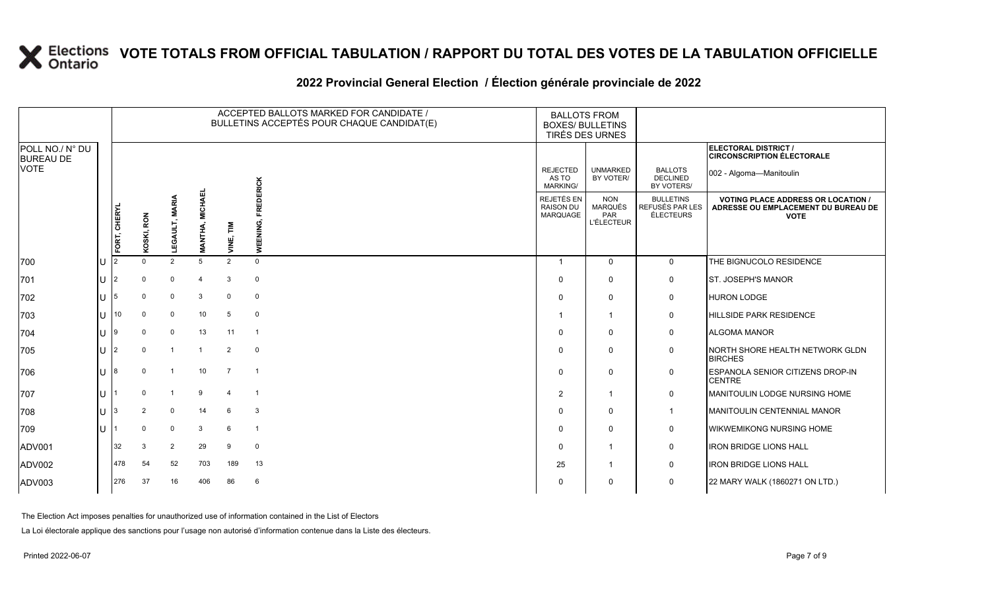### **2022 Provincial General Election / Élection générale provinciale de 2022**

|                                     |    |                |                |                |                           |                       | ACCEPTED BALLOTS MARKED FOR CANDIDATE /<br>BULLETINS ACCEPTÉS POUR CHAQUE CANDIDAT(E) | <b>BALLOTS FROM</b><br><b>BOXES/ BULLETINS</b><br><b>TIRÉS DES URNES</b> |                                                   |                                                         |                                                                                                 |
|-------------------------------------|----|----------------|----------------|----------------|---------------------------|-----------------------|---------------------------------------------------------------------------------------|--------------------------------------------------------------------------|---------------------------------------------------|---------------------------------------------------------|-------------------------------------------------------------------------------------------------|
| POLL NO./ N° DU<br><b>BUREAU DE</b> |    |                |                |                |                           |                       |                                                                                       |                                                                          |                                                   |                                                         | ELECTORAL DISTRICT /<br><b>CIRCONSCRIPTION ÉLECTORALE</b>                                       |
| <b>VOTE</b>                         |    |                |                |                |                           |                       | EDERICK                                                                               | <b>REJECTED</b><br>AS TO<br><b>MARKING/</b>                              | <b>UNMARKED</b><br>BY VOTER/                      | <b>BALLOTS</b><br><b>DECLINED</b><br>BY VOTERS/         | 002 - Algoma-Manitoulin                                                                         |
|                                     |    | FORT, CHERYL   | KOSKI, RON     | LEGAULT, MARIA | <b>MICHAEL</b><br>MANTHA, | VINE, TIM             | 훈<br>WEENING,                                                                         | REJETÉS EN<br><b>RAISON DU</b><br>MARQUAGE                               | <b>NON</b><br>MARQUÉS<br>PAR<br><b>L'ÉLECTEUR</b> | <b>BULLETINS</b><br>REFUSÉS PAR LES<br><b>ÉLECTEURS</b> | <b>VOTING PLACE ADDRESS OR LOCATION /</b><br>ADRESSE OU EMPLACEMENT DU BUREAU DE<br><b>VOTE</b> |
| 700                                 | Iυ | $\overline{2}$ | $\Omega$       | 2              | 5                         | 2                     | $\mathbf 0$                                                                           | $\mathbf{1}$                                                             | $\mathbf 0$                                       | $\mathbf 0$                                             | THE BIGNUCOLO RESIDENCE                                                                         |
| 701                                 | Iυ | $\overline{2}$ | $\Omega$       | $\mathbf 0$    | 4                         | 3                     | $\mathbf{0}$                                                                          | $\Omega$                                                                 | $\mathbf 0$                                       | 0                                                       | <b>ST. JOSEPH'S MANOR</b>                                                                       |
| 702                                 | lu | 5              | $\mathbf 0$    | $\mathbf 0$    | 3                         | $\mathbf 0$           | $\mathbf 0$                                                                           | $\Omega$                                                                 | 0                                                 | 0                                                       | <b>HURON LODGE</b>                                                                              |
| 703                                 | lu | 10             | $\mathbf 0$    | $\mathbf 0$    | 10                        | 5                     | $\overline{0}$                                                                        |                                                                          | $\overline{1}$                                    | $\mathbf 0$                                             | <b>HILLSIDE PARK RESIDENCE</b>                                                                  |
| 704                                 | Iυ |                | $\Omega$       | $\mathbf 0$    | 13                        | 11                    | $\overline{1}$                                                                        | $\Omega$                                                                 | 0                                                 | 0                                                       | <b>ALGOMA MANOR</b>                                                                             |
| 705                                 | lu | $\overline{2}$ | $\Omega$       | $\overline{1}$ | $\overline{1}$            | $\overline{2}$        | $\overline{\mathbf{0}}$                                                               | $\Omega$                                                                 | $\mathbf{0}$                                      | 0                                                       | NORTH SHORE HEALTH NETWORK GLDN<br><b>BIRCHES</b>                                               |
| 706                                 | lu | R.             | $\Omega$       | $\overline{1}$ | 10                        | $\overline{7}$        | $\overline{1}$                                                                        | $\Omega$                                                                 | $\mathbf{0}$                                      | $\mathbf 0$                                             | <b>ESPANOLA SENIOR CITIZENS DROP-IN</b><br><b>CENTRE</b>                                        |
| 707                                 | ΙU |                | $\Omega$       |                | 9                         | $\boldsymbol{\Delta}$ | $\overline{1}$                                                                        | 2                                                                        | $\overline{1}$                                    | $\mathbf 0$                                             | MANITOULIN LODGE NURSING HOME                                                                   |
| 708                                 | Iυ |                | $\overline{2}$ | $\mathbf 0$    | 14                        | 6                     | $\mathbf{3}$                                                                          | $\Omega$                                                                 | $\mathbf 0$                                       | $\mathbf{1}$                                            | MANITOULIN CENTENNIAL MANOR                                                                     |
| 709                                 | Ιu |                | $\mathbf 0$    | $\mathbf 0$    | 3                         | 6                     | $\overline{1}$                                                                        | $\Omega$                                                                 | 0                                                 | 0                                                       | WIKWEMIKONG NURSING HOME                                                                        |
| ADV001                              |    | 32             | 3              | $\overline{2}$ | 29                        | 9                     | $\overline{0}$                                                                        | $\Omega$                                                                 | 1                                                 | 0                                                       | <b>IRON BRIDGE LIONS HALL</b>                                                                   |
| ADV002                              |    | 478            | 54             | 52             | 703                       | 189                   | 13                                                                                    | 25                                                                       | $\mathbf{1}$                                      | 0                                                       | <b>IRON BRIDGE LIONS HALL</b>                                                                   |
| ADV003                              |    | 276            | 37             | 16             | 406                       | 86                    | 6                                                                                     | $\Omega$                                                                 | $\mathbf{0}$                                      | $\mathbf 0$                                             | 22 MARY WALK (1860271 ON LTD.)                                                                  |

The Election Act imposes penalties for unauthorized use of information contained in the List of Electors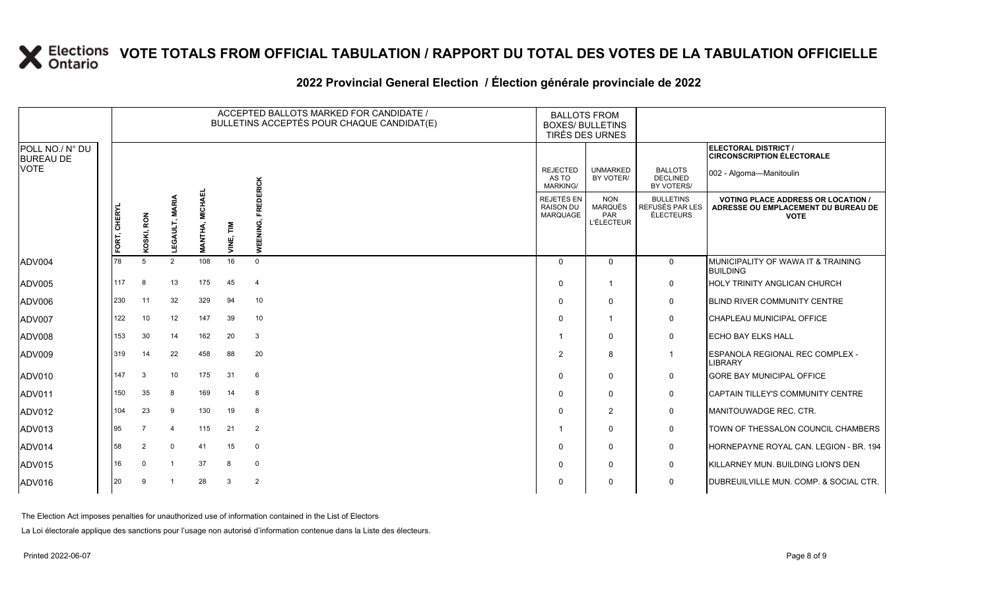### **2022 Provincial General Election / Élection générale provinciale de 2022**

|                                     |              |                |                          |                                  |           | ACCEPTED BALLOTS MARKED FOR CANDIDATE /<br>BULLETINS ACCEPTÉS POUR CHAQUE CANDIDAT(E) | <b>BALLOTS FROM</b>                               | <b>BOXES/ BULLETINS</b><br><b>TIRÉS DES URNES</b>        |                                                  |                                                                                                 |
|-------------------------------------|--------------|----------------|--------------------------|----------------------------------|-----------|---------------------------------------------------------------------------------------|---------------------------------------------------|----------------------------------------------------------|--------------------------------------------------|-------------------------------------------------------------------------------------------------|
| POLL NO./ N° DU<br><b>BUREAU DE</b> |              |                |                          |                                  |           |                                                                                       |                                                   |                                                          |                                                  | ELECTORAL DISTRICT /<br><b>CIRCONSCRIPTION ÉLECTORALE</b>                                       |
| <b>VOTE</b>                         |              |                |                          |                                  |           |                                                                                       | <b>REJECTED</b><br>AS TO<br><b>MARKING/</b>       | <b>UNMARKED</b><br>BY VOTER/                             | <b>BALLOTS</b><br><b>DECLINED</b><br>BY VOTERS/  | 002 - Algoma-Manitoulin                                                                         |
|                                     | FORT, CHERYL | KOSKI, RON     | LEGAULT, MARIA           | <b>MICHAEL</b><br><b>MANTHA,</b> | VINE, TIM | <b>FREDERICK</b><br>WEENING,                                                          | REJETÉS EN<br><b>RAISON DU</b><br><b>MARQUAGE</b> | <b>NON</b><br><b>MARQUÉS</b><br>PAR<br><b>L'ÉLECTEUR</b> | <b>BULLETINS</b><br>REFUSÉS PAR LES<br>ÉLECTEURS | <b>VOTING PLACE ADDRESS OR LOCATION /</b><br>ADRESSE OU EMPLACEMENT DU BUREAU DE<br><b>VOTE</b> |
| ADV004                              | 78           | -5             | 2                        | 108                              | 16        | $\mathbf 0$                                                                           | $\Omega$                                          | $\Omega$                                                 | $\mathbf{0}$                                     | MUNICIPALITY OF WAWA IT & TRAINING<br><b>BUILDING</b>                                           |
| ADV005                              | 117          | 8              | 13                       | 175                              | 45        | $\overline{4}$                                                                        | $\Omega$                                          | $\mathbf{1}$                                             | $\mathbf 0$                                      | HOLY TRINITY ANGLICAN CHURCH                                                                    |
| ADV006                              | 230          | 11             | 32                       | 329                              | 94        | 10                                                                                    | $\mathbf 0$                                       | 0                                                        | $\mathsf{O}$                                     | <b>BLIND RIVER COMMUNITY CENTRE</b>                                                             |
| ADV007                              | 122          | 10             | 12                       | 147                              | 39        | 10                                                                                    | $\mathbf 0$                                       |                                                          | $\mathbf 0$                                      | CHAPLEAU MUNICIPAL OFFICE                                                                       |
| ADV008                              | 153          | 30             | 14                       | 162                              | 20        | 3                                                                                     |                                                   | $\Omega$                                                 | $\mathbf 0$                                      | <b>ECHO BAY ELKS HALL</b>                                                                       |
| ADV009                              | 319          | 14             | 22                       | 458                              | 88        | 20                                                                                    | $\overline{2}$                                    | 8                                                        | $\mathbf{1}$                                     | ESPANOLA REGIONAL REC COMPLEX -<br>LIBRARY                                                      |
| <b>ADV010</b>                       | 147          | 3              | 10                       | 175                              | 31        | 6                                                                                     | $\mathbf 0$                                       | 0                                                        | 0                                                | GORE BAY MUNICIPAL OFFICE                                                                       |
| ADV011                              | 150          | 35             | 8                        | 169                              | 14        | 8                                                                                     | $\Omega$                                          | $\Omega$                                                 | $\mathsf{O}$                                     | CAPTAIN TILLEY'S COMMUNITY CENTRE                                                               |
| <b>ADV012</b>                       | 104          | 23             | 9                        | 130                              | 19        | 8                                                                                     | $\Omega$                                          | $\overline{2}$                                           | $\mathbf 0$                                      | <b>MANITOUWADGE REC. CTR.</b>                                                                   |
| ADV013                              | 95           | $\overline{7}$ | $\overline{\mathcal{A}}$ | 115                              | 21        | $\overline{2}$                                                                        |                                                   | $\Omega$                                                 | 0                                                | TOWN OF THESSALON COUNCIL CHAMBERS                                                              |
| ADV014                              | 58           | $\overline{2}$ | $\mathbf 0$              | 41                               | 15        | 0                                                                                     | $\Omega$                                          | 0                                                        | $\mathsf{O}$                                     | HORNEPAYNE ROYAL CAN. LEGION - BR. 194                                                          |
| ADV015                              | 16           | $\Omega$       | -1                       | 37                               | 8         | $\mathbf 0$                                                                           | $\Omega$                                          | 0                                                        | $\mathbf 0$                                      | KILLARNEY MUN. BUILDING LION'S DEN                                                              |
| ADV016                              | 20           | 9              |                          | 28                               | 3         | 2                                                                                     | $\mathbf 0$                                       | 0                                                        | $\mathbf 0$                                      | DUBREUILVILLE MUN. COMP. & SOCIAL CTR.                                                          |

The Election Act imposes penalties for unauthorized use of information contained in the List of Electors